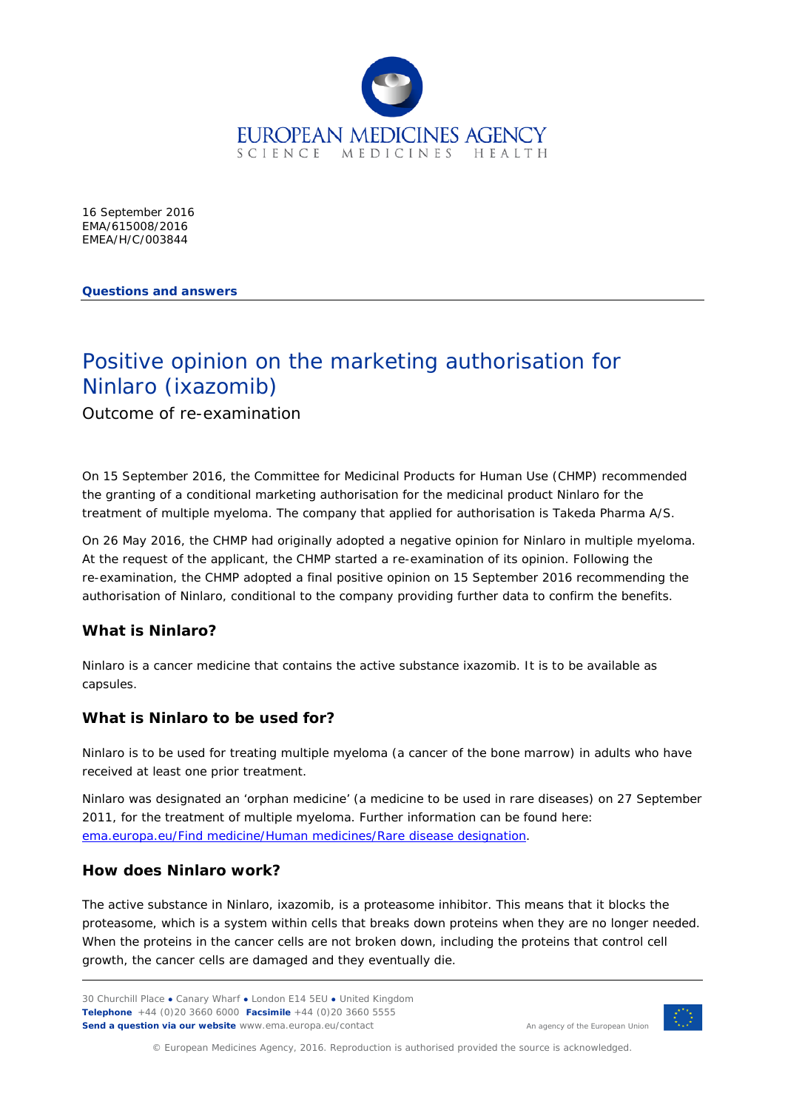

16 September 2016 EMA/615008/2016 EMEA/H/C/003844

**Questions and answers**

# Positive opinion on the marketing authorisation for Ninlaro (ixazomib)

Outcome of re-examination

On 15 September 2016, the Committee for Medicinal Products for Human Use (CHMP) recommended the granting of a conditional marketing authorisation for the medicinal product Ninlaro for the treatment of multiple myeloma. The company that applied for authorisation is Takeda Pharma A/S.

On 26 May 2016, the CHMP had originally adopted a negative opinion for Ninlaro in multiple myeloma. At the request of the applicant, the CHMP started a re-examination of its opinion. Following the re-examination, the CHMP adopted a final positive opinion on 15 September 2016 recommending the authorisation of Ninlaro, conditional to the company providing further data to confirm the benefits.

## **What is Ninlaro?**

Ninlaro is a cancer medicine that contains the active substance ixazomib. It is to be available as capsules.

## **What is Ninlaro to be used for?**

Ninlaro is to be used for treating multiple myeloma (a cancer of the bone marrow) in adults who have received at least one prior treatment.

Ninlaro was designated an 'orphan medicine' (a medicine to be used in rare diseases) on 27 September 2011, for the treatment of multiple myeloma. Further information can be found here: [ema.europa.eu/Find medicine/Human medicines/Rare disease designation.](http://www.ema.europa.eu/ema/index.jsp?curl=pages/medicines/human/orphans/2011/10/human_orphan_000977.jsp&mid=WC0b01ac058001d12b)

## **How does Ninlaro work?**

The active substance in Ninlaro, ixazomib, is a proteasome inhibitor. This means that it blocks the proteasome, which is a system within cells that breaks down proteins when they are no longer needed. When the proteins in the cancer cells are not broken down, including the proteins that control cell growth, the cancer cells are damaged and they eventually die.

30 Churchill Place **●** Canary Wharf **●** London E14 5EU **●** United Kingdom **Telephone** +44 (0)20 3660 6000 **Facsimile** +44 (0)20 3660 5555 **Send a question via our website** www.ema.europa.eu/contact



© European Medicines Agency, 2016. Reproduction is authorised provided the source is acknowledged.